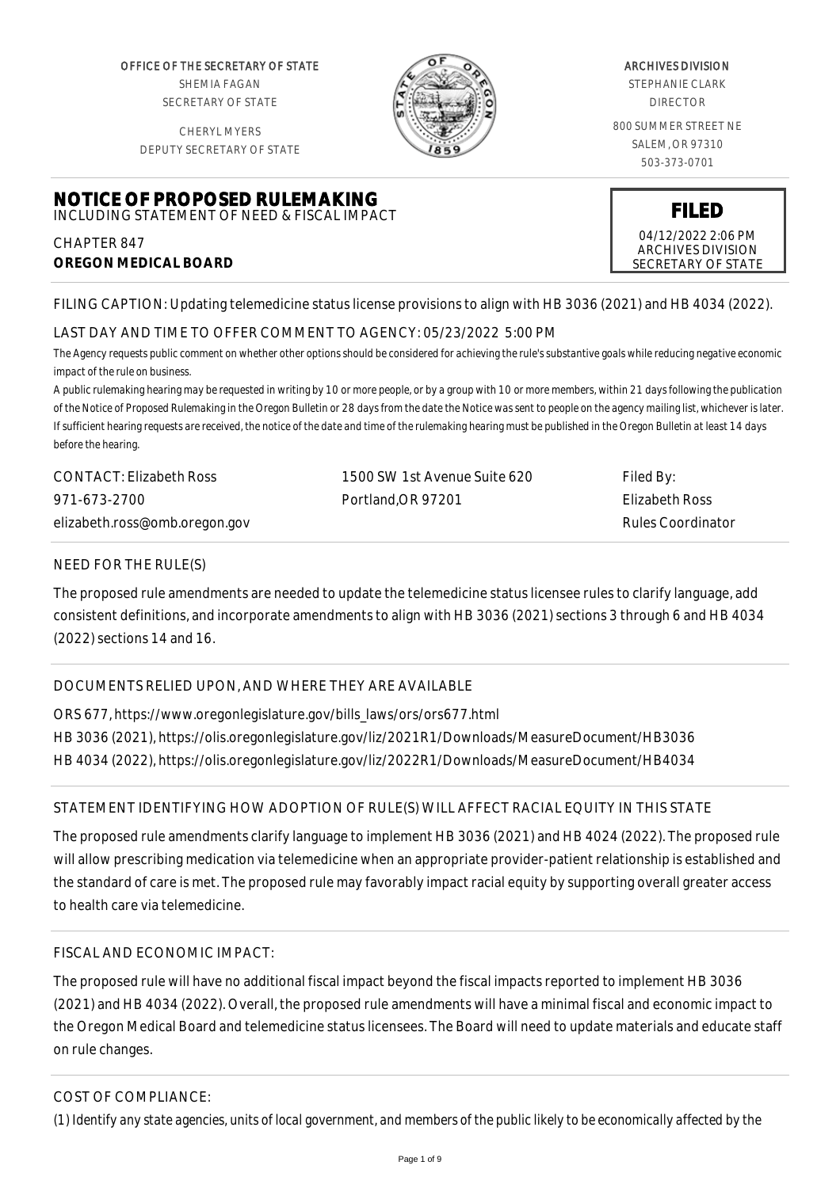OFFICE OF THE SECRETARY OF STATE SHEMIA FAGAN SECRETARY OF STATE

CHERYL MYERS DEPUTY SECRETARY OF STATE



#### ARCHIVES DIVISION

STEPHANIE CLARK DIRECTOR

800 SUMMER STREET NE SALEM, OR 97310 503-373-0701

> **FILED** 04/12/2022 2:06 PM ARCHIVES DIVISION SECRETARY OF STATE

#### **NOTICE OF PROPOSED RULEMAKING** INCLUDING STATEMENT OF NEED & FISCAL IMPACT

CHAPTER 847 **OREGON MEDICAL BOARD**

FILING CAPTION: Updating telemedicine status license provisions to align with HB 3036 (2021) and HB 4034 (2022).

# LAST DAY AND TIME TO OFFER COMMENT TO AGENCY: 05/23/2022 5:00 PM

*The Agency requests public comment on whether other options should be considered for achieving the rule's substantive goals while reducing negative economic impact of the rule on business.*

*A public rulemaking hearing may be requested in writing by 10 or more people, or by a group with 10 or more members, within 21 days following the publication of the Notice of Proposed Rulemaking in the Oregon Bulletin or 28 days from the date the Notice was sent to people on the agency mailing list, whichever is later. If sufficient hearing requests are received, the notice of the date and time of the rulemaking hearing must be published in the Oregon Bulletin at least 14 days before the hearing.*

| CONTACT: Elizabeth Ross       | 1500 SW 1st Avenue Suite 620 | Filed By:         |
|-------------------------------|------------------------------|-------------------|
| 971-673-2700                  | Portland.OR 97201            | Elizabeth Ross    |
| elizabeth.ross@omb.oregon.gov |                              | Rules Coordinator |

## NEED FOR THE RULE(S)

The proposed rule amendments are needed to update the telemedicine status licensee rules to clarify language, add consistent definitions, and incorporate amendments to align with HB 3036 (2021) sections 3 through 6 and HB 4034 (2022) sections 14 and 16.

# DOCUMENTS RELIED UPON, AND WHERE THEY ARE AVAILABLE

ORS 677, https://www.oregonlegislature.gov/bills\_laws/ors/ors677.html HB 3036 (2021), https://olis.oregonlegislature.gov/liz/2021R1/Downloads/MeasureDocument/HB3036 HB 4034 (2022), https://olis.oregonlegislature.gov/liz/2022R1/Downloads/MeasureDocument/HB4034

# STATEMENT IDENTIFYING HOW ADOPTION OF RULE(S) WILL AFFECT RACIAL EQUITY IN THIS STATE

The proposed rule amendments clarify language to implement HB 3036 (2021) and HB 4024 (2022). The proposed rule will allow prescribing medication via telemedicine when an appropriate provider-patient relationship is established and the standard of care is met. The proposed rule may favorably impact racial equity by supporting overall greater access to health care via telemedicine.

## FISCAL AND ECONOMIC IMPACT:

The proposed rule will have no additional fiscal impact beyond the fiscal impacts reported to implement HB 3036 (2021) and HB 4034 (2022). Overall, the proposed rule amendments will have a minimal fiscal and economic impact to the Oregon Medical Board and telemedicine status licensees. The Board will need to update materials and educate staff on rule changes.

# COST OF COMPLIANCE:

*(1) Identify any state agencies, units of local government, and members of the public likely to be economically affected by the*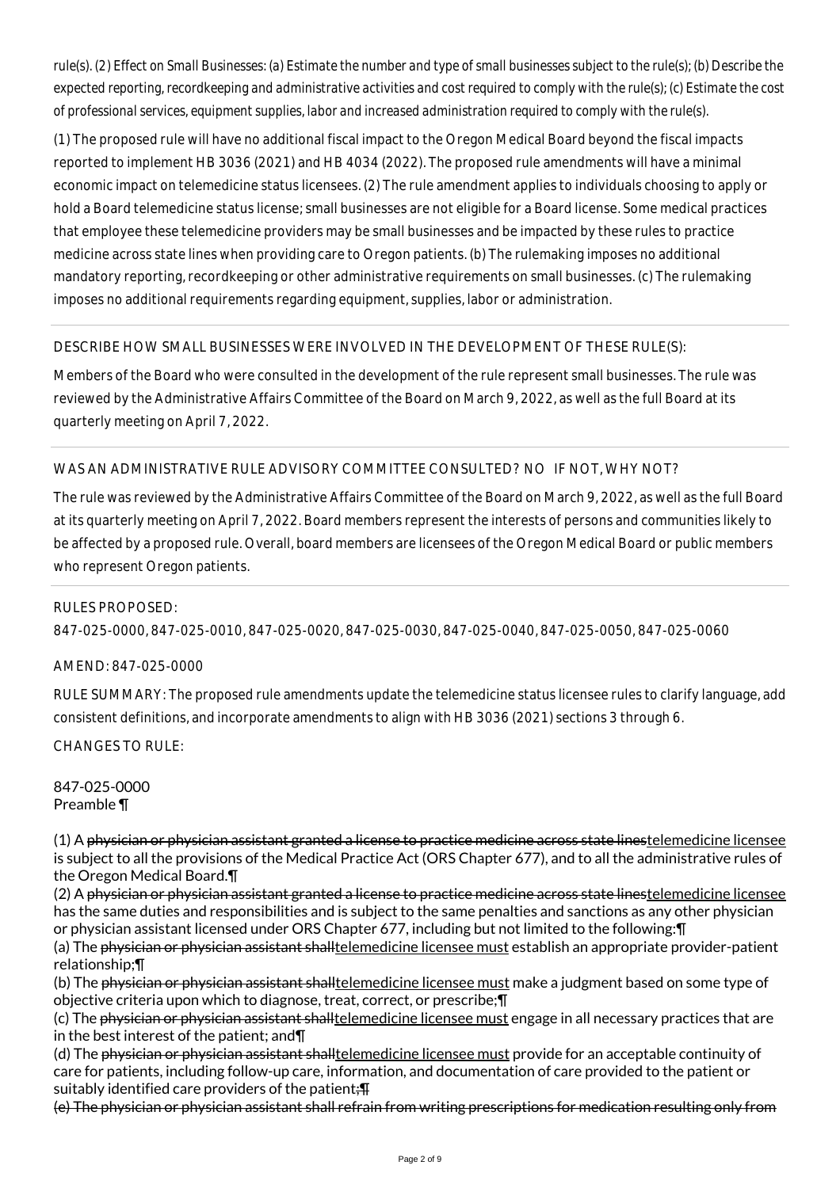*rule(s). (2) Effect on Small Businesses: (a) Estimate the number and type of small businesses subject to the rule(s); (b) Describe the expected reporting, recordkeeping and administrative activities and cost required to comply with the rule(s); (c) Estimate the cost of professional services, equipment supplies, labor and increased administration required to comply with the rule(s).*

(1) The proposed rule will have no additional fiscal impact to the Oregon Medical Board beyond the fiscal impacts reported to implement HB 3036 (2021) and HB 4034 (2022). The proposed rule amendments will have a minimal economic impact on telemedicine status licensees. (2) The rule amendment applies to individuals choosing to apply or hold a Board telemedicine status license; small businesses are not eligible for a Board license. Some medical practices that employee these telemedicine providers may be small businesses and be impacted by these rules to practice medicine across state lines when providing care to Oregon patients. (b) The rulemaking imposes no additional mandatory reporting, recordkeeping or other administrative requirements on small businesses. (c) The rulemaking imposes no additional requirements regarding equipment, supplies, labor or administration.

## DESCRIBE HOW SMALL BUSINESSES WERE INVOLVED IN THE DEVELOPMENT OF THESE RULE(S):

Members of the Board who were consulted in the development of the rule represent small businesses. The rule was reviewed by the Administrative Affairs Committee of the Board on March 9, 2022, as well as the full Board at its quarterly meeting on April 7, 2022.

#### WAS AN ADMINISTRATIVE RULE ADVISORY COMMITTEE CONSULTED? NO IF NOT, WHY NOT?

The rule was reviewed by the Administrative Affairs Committee of the Board on March 9, 2022, as well as the full Board at its quarterly meeting on April 7, 2022. Board members represent the interests of persons and communities likely to be affected by a proposed rule. Overall, board members are licensees of the Oregon Medical Board or public members who represent Oregon patients.

# 847-025-0000, 847-025-0010, 847-025-0020, 847-025-0030, 847-025-0040, 847-025-0050, 847-025-0060

#### AMEND: 847-025-0000

RULES PROPOSED:

RULE SUMMARY: The proposed rule amendments update the telemedicine status licensee rules to clarify language, add consistent definitions, and incorporate amendments to align with HB 3036 (2021) sections 3 through 6.

CHANGES TO RULE:

847-025-0000 Preamble ¶

(1) A physician or physician assistant granted a license to practice medicine across state linestelemedicine licensee is subject to all the provisions of the Medical Practice Act (ORS Chapter 677), and to all the administrative rules of the Oregon Medical Board.¶

(2) A physician or physician assistant granted a license to practice medicine across state linestelemedicine licensee has the same duties and responsibilities and is subject to the same penalties and sanctions as any other physician or physician assistant licensed under ORS Chapter 677, including but not limited to the following:¶

(a) The physician or physician assistant shalltelemedicine licensee must establish an appropriate provider-patient relationship;¶

(b) The physician or physician assistant shalltelemedicine licensee must make a judgment based on some type of objective criteria upon which to diagnose, treat, correct, or prescribe;¶

(c) The physician or physician assistant shall telemedicine licensee must engage in all necessary practices that are in the best interest of the patient; and¶

(d) The physician or physician assistant shalltelemedicine licensee must provide for an acceptable continuity of care for patients, including follow-up care, information, and documentation of care provided to the patient or suitably identified care providers of the patient: $\P$ 

(e) The physician or physician assistant shall refrain from writing prescriptions for medication resulting only from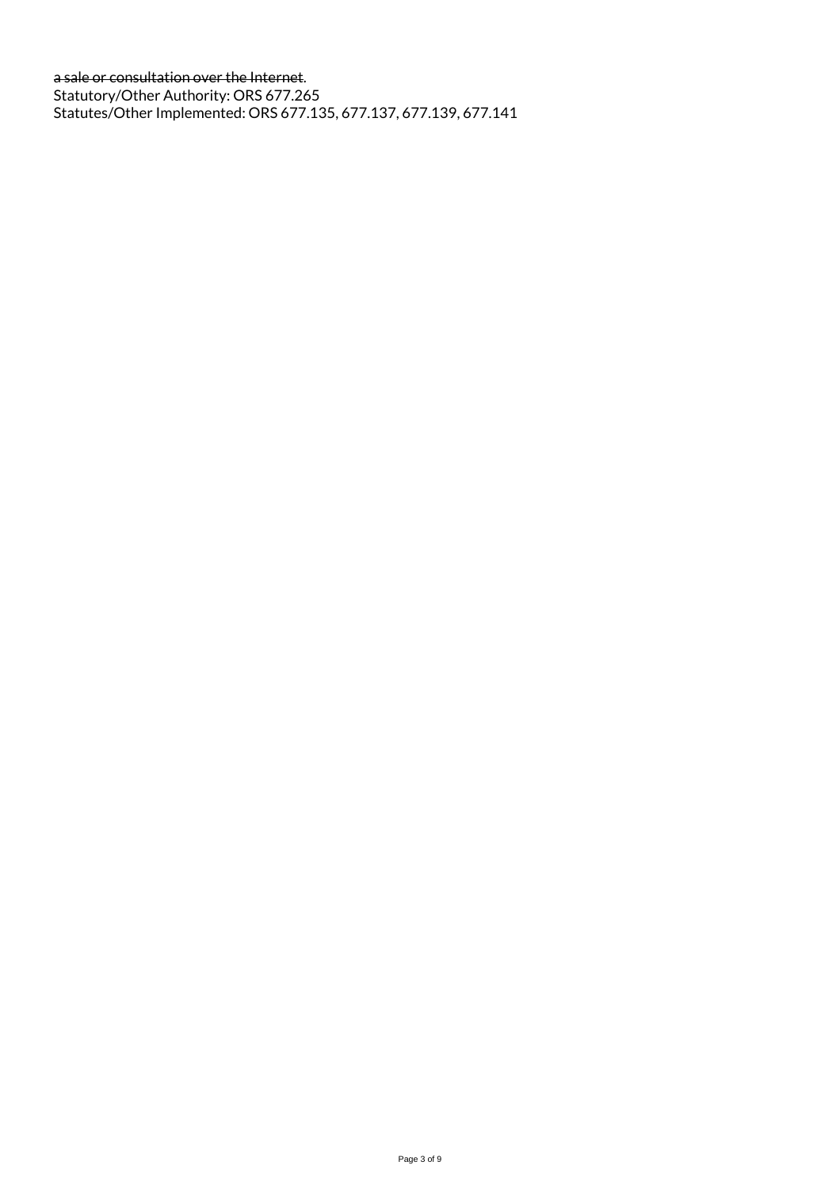a sale or consultation over the Internet. Statutory/Other Authority: ORS 677.265 Statutes/Other Implemented: ORS 677.135, 677.137, 677.139, 677.141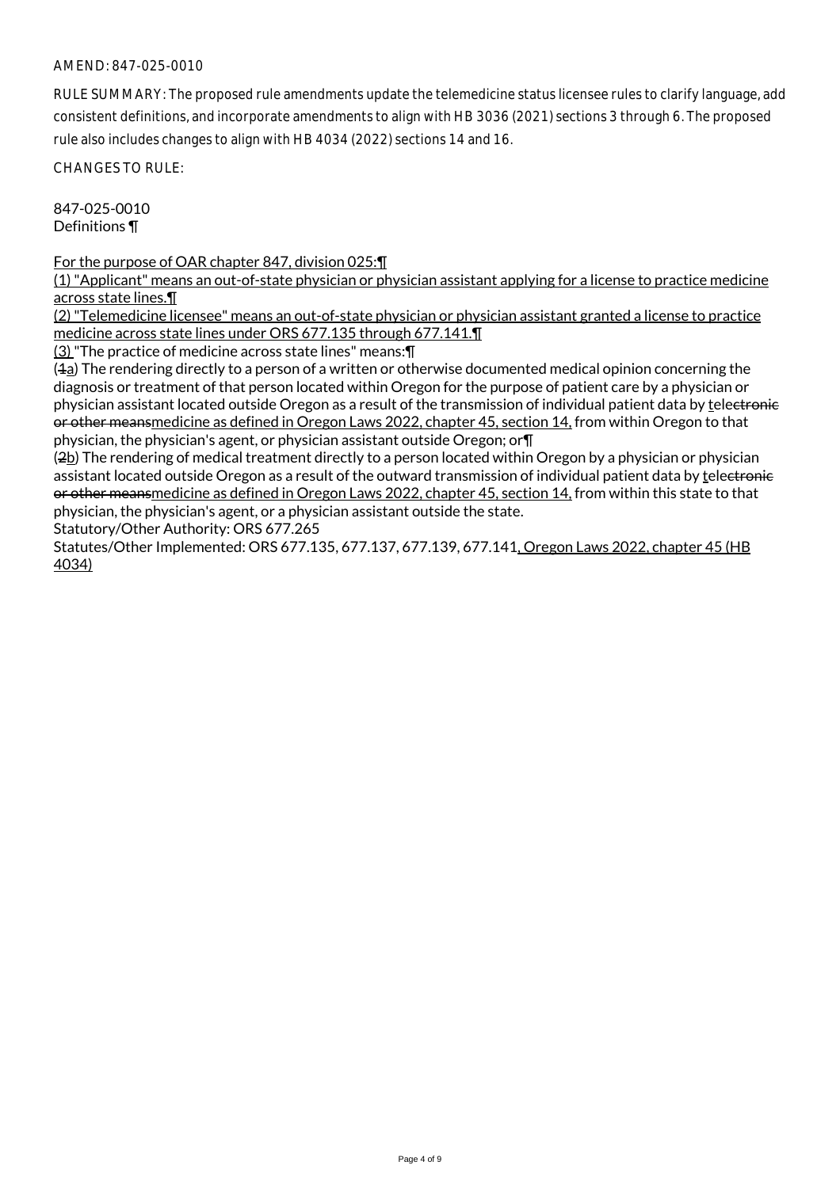RULE SUMMARY: The proposed rule amendments update the telemedicine status licensee rules to clarify language, add consistent definitions, and incorporate amendments to align with HB 3036 (2021) sections 3 through 6. The proposed rule also includes changes to align with HB 4034 (2022) sections 14 and 16.

CHANGES TO RULE:

847-025-0010 Definitions ¶

For the purpose of OAR chapter 847, division 025:¶

(1) "Applicant" means an out-of-state physician or physician assistant applying for a license to practice medicine across state lines.¶

(2) "Telemedicine licensee" means an out-of-state physician or physician assistant granted a license to practice medicine across state lines under ORS 677.135 through 677.141.¶

(3) "The practice of medicine across state lines" means:¶

(1a) The rendering directly to a person of a written or otherwise documented medical opinion concerning the diagnosis or treatment of that person located within Oregon for the purpose of patient care by a physician or physician assistant located outside Oregon as a result of the transmission of individual patient data by telectronic or other meansmedicine as defined in Oregon Laws 2022, chapter 45, section 14, from within Oregon to that physician, the physician's agent, or physician assistant outside Oregon; or¶

(2b) The rendering of medical treatment directly to a person located within Oregon by a physician or physician assistant located outside Oregon as a result of the outward transmission of individual patient data by telectronic or other meansmedicine as defined in Oregon Laws 2022, chapter 45, section 14, from within this state to that physician, the physician's agent, or a physician assistant outside the state.

Statutory/Other Authority: ORS 677.265

Statutes/Other Implemented: ORS 677.135, 677.137, 677.139, 677.141, Oregon Laws 2022, chapter 45 (HB 4034)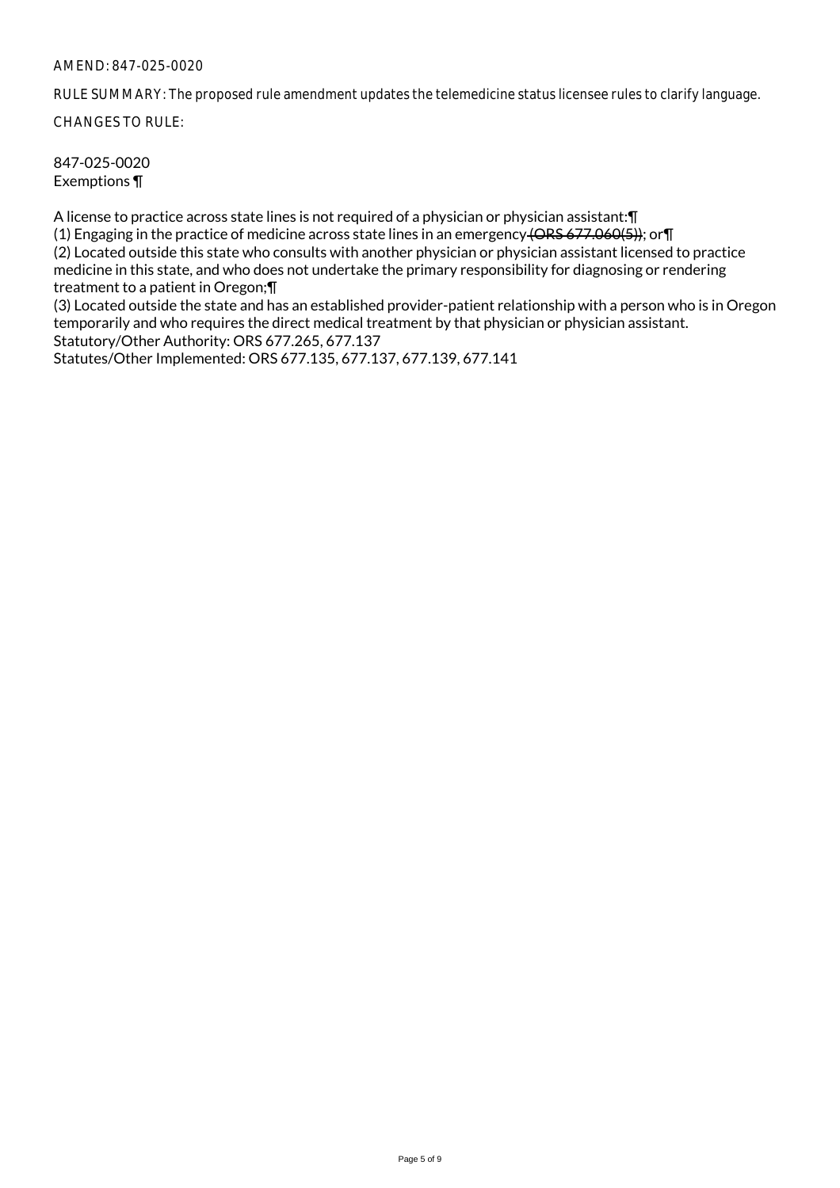RULE SUMMARY: The proposed rule amendment updates the telemedicine status licensee rules to clarify language.

CHANGES TO RULE:

847-025-0020 Exemptions ¶

A license to practice across state lines is not required of a physician or physician assistant:¶

(1) Engaging in the practice of medicine across state lines in an emergency (ORS 677.060(5)); or¶ (2) Located outside this state who consults with another physician or physician assistant licensed to practice medicine in this state, and who does not undertake the primary responsibility for diagnosing or rendering treatment to a patient in Oregon;¶

(3) Located outside the state and has an established provider-patient relationship with a person who is in Oregon temporarily and who requires the direct medical treatment by that physician or physician assistant. Statutory/Other Authority: ORS 677.265, 677.137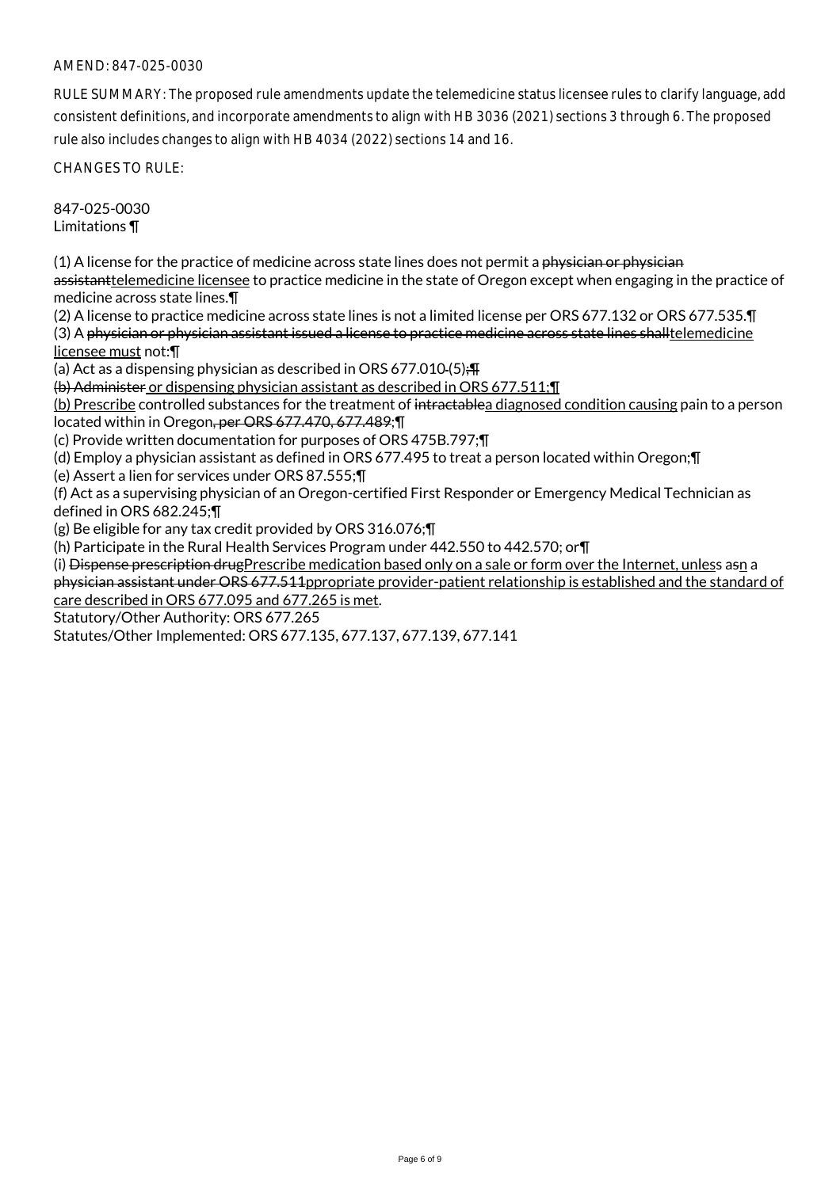RULE SUMMARY: The proposed rule amendments update the telemedicine status licensee rules to clarify language, add consistent definitions, and incorporate amendments to align with HB 3036 (2021) sections 3 through 6. The proposed rule also includes changes to align with HB 4034 (2022) sections 14 and 16.

CHANGES TO RULE:

847-025-0030 Limitations ¶

(1) A license for the practice of medicine across state lines does not permit a physician or physician assistanttelemedicine licensee to practice medicine in the state of Oregon except when engaging in the practice of medicine across state lines.¶

(2) A license to practice medicine across state lines is not a limited license per ORS 677.132 or ORS 677.535.¶ (3) A physician or physician assistant issued a license to practice medicine across state lines shalltelemedicine licensee must not:¶

(a) Act as a dispensing physician as described in ORS 677.010-(5); $\P$ 

(b) Administer or dispensing physician assistant as described in ORS 677.511;¶

(b) Prescribe controlled substances for the treatment of intractablea diagnosed condition causing pain to a person located within in Oregon, per ORS 677.470, 677.489;¶

(c) Provide written documentation for purposes of ORS 475B.797;¶

(d) Employ a physician assistant as defined in ORS 677.495 to treat a person located within Oregon;¶

(e) Assert a lien for services under ORS 87.555;¶

(f) Act as a supervising physician of an Oregon-certified First Responder or Emergency Medical Technician as defined in ORS 682.245;¶

(g) Be eligible for any tax credit provided by ORS 316.076;¶

(h) Participate in the Rural Health Services Program under 442.550 to 442.570; or¶

(i) Dispense prescription drugPrescribe medication based only on a sale or form over the Internet, unless asn a physician assistant under ORS 677.511ppropriate provider-patient relationship is established and the standard of care described in ORS 677.095 and 677.265 is met.

Statutory/Other Authority: ORS 677.265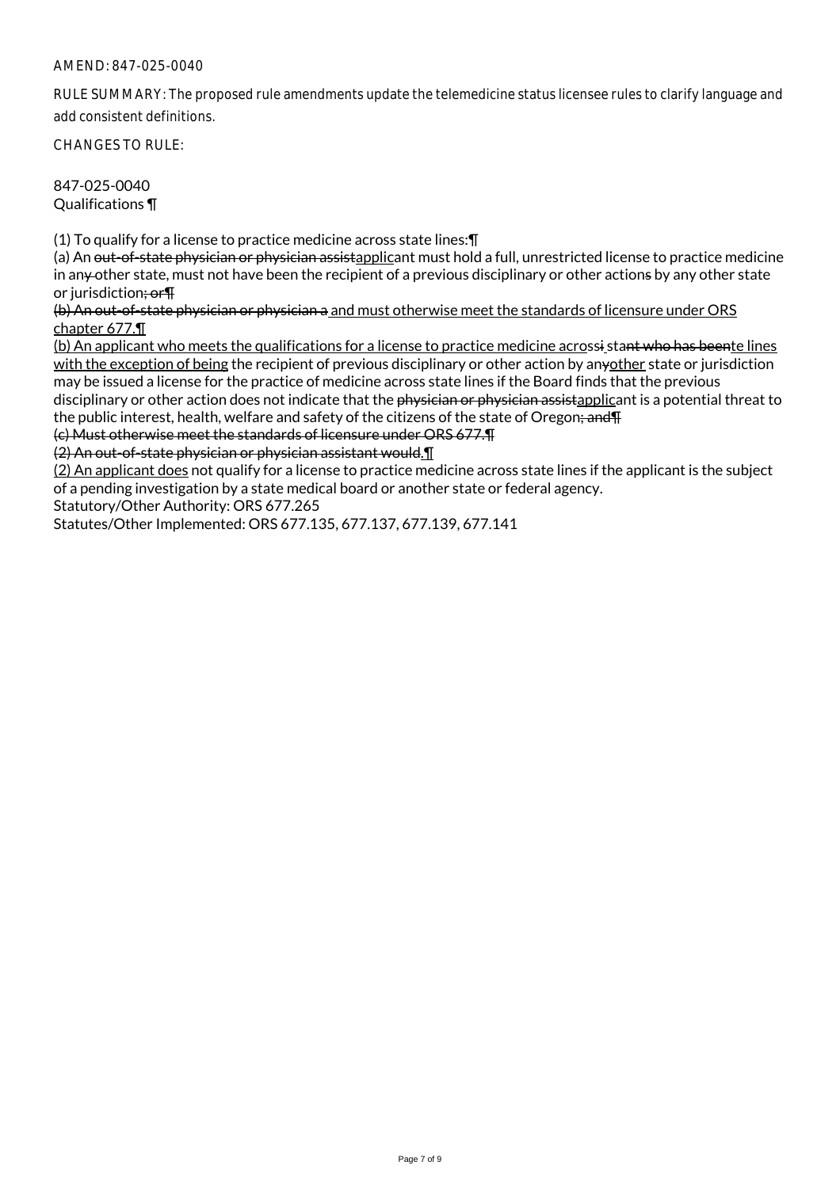RULE SUMMARY: The proposed rule amendments update the telemedicine status licensee rules to clarify language and add consistent definitions.

CHANGES TO RULE:

847-025-0040 Qualifications ¶

(1) To qualify for a license to practice medicine across state lines:¶

(a) An out-of-state physician or physician assistapplicant must hold a full, unrestricted license to practice medicine in an<sub>y</sub> other state, must not have been the recipient of a previous disciplinary or other actions by any other state or jurisdiction<del>; or</del>

(b) An out-of-state physician or physician a and must otherwise meet the standards of licensure under ORS chapter 677.¶

(b) An applicant who meets the qualifications for a license to practice medicine acrossi stant who has beente lines with the exception of being the recipient of previous disciplinary or other action by anyother state or jurisdiction may be issued a license for the practice of medicine across state lines if the Board finds that the previous disciplinary or other action does not indicate that the physician or physician assistapplicant is a potential threat to the public interest, health, welfare and safety of the citizens of the state of Oregon; and T

(c) Must otherwise meet the standards of licensure under ORS 677.¶

(2) An out-of-state physician or physician assistant would.¶

(2) An applicant does not qualify for a license to practice medicine across state lines if the applicant is the subject of a pending investigation by a state medical board or another state or federal agency.

Statutory/Other Authority: ORS 677.265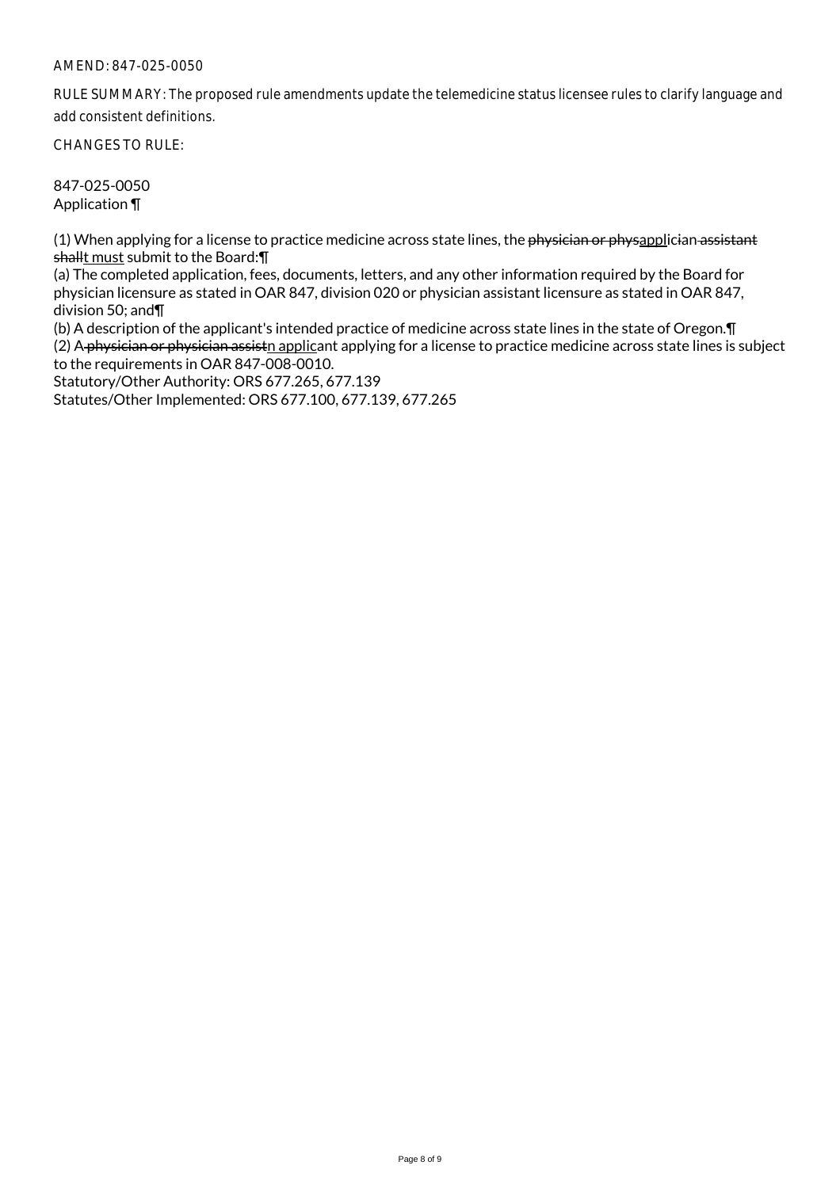RULE SUMMARY: The proposed rule amendments update the telemedicine status licensee rules to clarify language and add consistent definitions.

CHANGES TO RULE:

847-025-0050 Application ¶

(1) When applying for a license to practice medicine across state lines, the physician or physapplician assistant shallt must submit to the Board:¶

(a) The completed application, fees, documents, letters, and any other information required by the Board for physician licensure as stated in OAR 847, division 020 or physician assistant licensure as stated in OAR 847, division 50; and¶

(b) A description of the applicant's intended practice of medicine across state lines in the state of Oregon.¶ (2) A physician or physician assistn applicant applying for a license to practice medicine across state lines is subject to the requirements in OAR 847-008-0010.

Statutory/Other Authority: ORS 677.265, 677.139

Statutes/Other Implemented: ORS 677.100, 677.139, 677.265